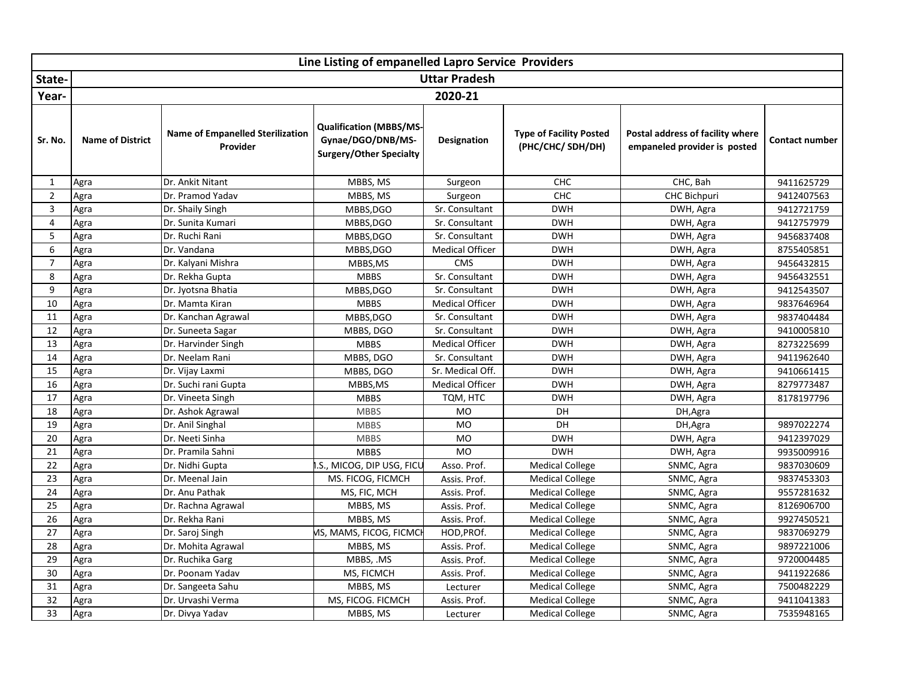|                | Line Listing of empanelled Lapro Service Providers |                                                     |                                                                                       |                        |                                                     |                                                                  |                |  |  |
|----------------|----------------------------------------------------|-----------------------------------------------------|---------------------------------------------------------------------------------------|------------------------|-----------------------------------------------------|------------------------------------------------------------------|----------------|--|--|
| State-         |                                                    |                                                     |                                                                                       | <b>Uttar Pradesh</b>   |                                                     |                                                                  |                |  |  |
| Year-          |                                                    |                                                     |                                                                                       | 2020-21                |                                                     |                                                                  |                |  |  |
| Sr. No.        | <b>Name of District</b>                            | <b>Name of Empanelled Sterilization</b><br>Provider | <b>Qualification (MBBS/MS-</b><br>Gynae/DGO/DNB/MS-<br><b>Surgery/Other Specialty</b> | <b>Designation</b>     | <b>Type of Facility Posted</b><br>(PHC/CHC/ SDH/DH) | Postal address of facility where<br>empaneled provider is posted | Contact number |  |  |
| $\mathbf{1}$   | Agra                                               | Dr. Ankit Nitant                                    | MBBS, MS                                                                              | Surgeon                | CHC                                                 | CHC, Bah                                                         | 9411625729     |  |  |
| $\overline{2}$ | Agra                                               | Dr. Pramod Yadav                                    | MBBS, MS                                                                              | Surgeon                | CHC                                                 | CHC Bichpuri                                                     | 9412407563     |  |  |
| $\overline{3}$ | Agra                                               | Dr. Shaily Singh                                    | MBBS, DGO                                                                             | Sr. Consultant         | <b>DWH</b>                                          | DWH, Agra                                                        | 9412721759     |  |  |
| 4              | Agra                                               | Dr. Sunita Kumari                                   | MBBS, DGO                                                                             | Sr. Consultant         | <b>DWH</b>                                          | DWH, Agra                                                        | 9412757979     |  |  |
| 5              | Agra                                               | Dr. Ruchi Rani                                      | MBBS, DGO                                                                             | Sr. Consultant         | <b>DWH</b>                                          | DWH, Agra                                                        | 9456837408     |  |  |
| 6              | Agra                                               | Dr. Vandana                                         | MBBS, DGO                                                                             | <b>Medical Officer</b> | <b>DWH</b>                                          | DWH, Agra                                                        | 8755405851     |  |  |
| $\overline{7}$ | Agra                                               | Dr. Kalyani Mishra                                  | MBBS,MS                                                                               | <b>CMS</b>             | <b>DWH</b>                                          | DWH, Agra                                                        | 9456432815     |  |  |
| 8              | Agra                                               | Dr. Rekha Gupta                                     | <b>MBBS</b>                                                                           | Sr. Consultant         | <b>DWH</b>                                          | DWH, Agra                                                        | 9456432551     |  |  |
| 9              | Agra                                               | Dr. Jyotsna Bhatia                                  | MBBS, DGO                                                                             | Sr. Consultant         | <b>DWH</b>                                          | DWH, Agra                                                        | 9412543507     |  |  |
| 10             | Agra                                               | Dr. Mamta Kiran                                     | <b>MBBS</b>                                                                           | <b>Medical Officer</b> | <b>DWH</b>                                          | DWH, Agra                                                        | 9837646964     |  |  |
| 11             | Agra                                               | Dr. Kanchan Agrawal                                 | MBBS, DGO                                                                             | Sr. Consultant         | <b>DWH</b>                                          | DWH, Agra                                                        | 9837404484     |  |  |
| 12             | Agra                                               | Dr. Suneeta Sagar                                   | MBBS, DGO                                                                             | Sr. Consultant         | <b>DWH</b>                                          | DWH, Agra                                                        | 9410005810     |  |  |
| 13             | Agra                                               | Dr. Harvinder Singh                                 | <b>MBBS</b>                                                                           | <b>Medical Officer</b> | <b>DWH</b>                                          | DWH, Agra                                                        | 8273225699     |  |  |
| 14             | Agra                                               | Dr. Neelam Rani                                     | MBBS, DGO                                                                             | Sr. Consultant         | <b>DWH</b>                                          | DWH, Agra                                                        | 9411962640     |  |  |
| 15             | Agra                                               | Dr. Vijay Laxmi                                     | MBBS, DGO                                                                             | Sr. Medical Off.       | <b>DWH</b>                                          | DWH, Agra                                                        | 9410661415     |  |  |
| 16             | Agra                                               | Dr. Suchi rani Gupta                                | MBBS, MS                                                                              | <b>Medical Officer</b> | <b>DWH</b>                                          | DWH, Agra                                                        | 8279773487     |  |  |
| 17             | Agra                                               | Dr. Vineeta Singh                                   | <b>MBBS</b>                                                                           | TQM, HTC               | <b>DWH</b>                                          | DWH, Agra                                                        | 8178197796     |  |  |
| 18             | Agra                                               | Dr. Ashok Agrawal                                   | <b>MBBS</b>                                                                           | MO                     | DH                                                  | DH, Agra                                                         |                |  |  |
| 19             | Agra                                               | Dr. Anil Singhal                                    | <b>MBBS</b>                                                                           | <b>MO</b>              | DH                                                  | DH, Agra                                                         | 9897022274     |  |  |
| 20             | Agra                                               | Dr. Neeti Sinha                                     | <b>MBBS</b>                                                                           | <b>MO</b>              | <b>DWH</b>                                          | DWH, Agra                                                        | 9412397029     |  |  |
| 21             | Agra                                               | Dr. Pramila Sahni                                   | <b>MBBS</b>                                                                           | <b>MO</b>              | <b>DWH</b>                                          | DWH, Agra                                                        | 9935009916     |  |  |
| 22             | Agra                                               | Dr. Nidhi Gupta                                     | .S., MICOG, DIP USG, FICU                                                             | Asso. Prof.            | <b>Medical College</b>                              | SNMC, Agra                                                       | 9837030609     |  |  |
| 23             | Agra                                               | Dr. Meenal Jain                                     | MS. FICOG, FICMCH                                                                     | Assis. Prof.           | <b>Medical College</b>                              | SNMC, Agra                                                       | 9837453303     |  |  |
| 24             | Agra                                               | Dr. Anu Pathak                                      | MS, FIC, MCH                                                                          | Assis. Prof.           | <b>Medical College</b>                              | SNMC, Agra                                                       | 9557281632     |  |  |
| 25             | Agra                                               | Dr. Rachna Agrawal                                  | MBBS, MS                                                                              | Assis. Prof.           | <b>Medical College</b>                              | SNMC, Agra                                                       | 8126906700     |  |  |
| 26             | Agra                                               | Dr. Rekha Rani                                      | MBBS, MS                                                                              | Assis. Prof.           | <b>Medical College</b>                              | SNMC, Agra                                                       | 9927450521     |  |  |
| 27             | Agra                                               | Dr. Saroj Singh                                     | <b>MS, MAMS, FICOG, FICMC</b>                                                         | HOD, PROf.             | <b>Medical College</b>                              | SNMC, Agra                                                       | 9837069279     |  |  |
| 28             | Agra                                               | Dr. Mohita Agrawal                                  | MBBS, MS                                                                              | Assis. Prof.           | <b>Medical College</b>                              | SNMC, Agra                                                       | 9897221006     |  |  |
| 29             | Agra                                               | Dr. Ruchika Garg                                    | MBBS, .MS                                                                             | Assis. Prof.           | <b>Medical College</b>                              | SNMC, Agra                                                       | 9720004485     |  |  |
| 30             | Agra                                               | Dr. Poonam Yadav                                    | MS, FICMCH                                                                            | Assis. Prof.           | <b>Medical College</b>                              | SNMC, Agra                                                       | 9411922686     |  |  |
| 31             | Agra                                               | Dr. Sangeeta Sahu                                   | MBBS, MS                                                                              | Lecturer               | <b>Medical College</b>                              | SNMC, Agra                                                       | 7500482229     |  |  |
| 32             | Agra                                               | Dr. Urvashi Verma                                   | MS, FICOG. FICMCH                                                                     | Assis. Prof.           | <b>Medical College</b>                              | SNMC, Agra                                                       | 9411041383     |  |  |
| 33             | Agra                                               | Dr. Divya Yadav                                     | MBBS, MS                                                                              | Lecturer               | <b>Medical College</b>                              | SNMC, Agra                                                       | 7535948165     |  |  |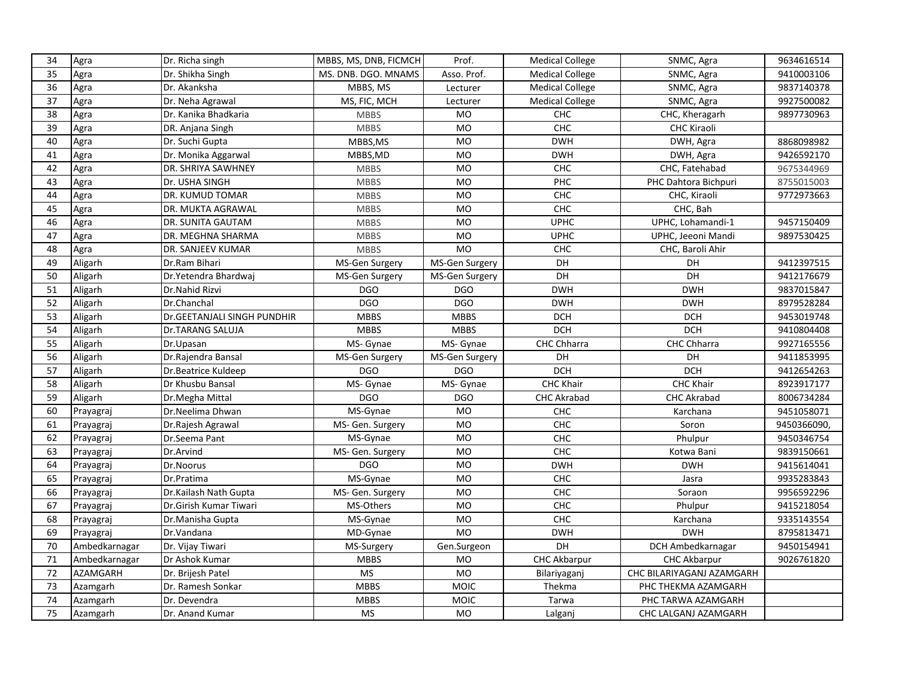| 34              | Agra            | Dr. Richa singh             | MBBS, MS, DNB, FICMCH | Prof.          | <b>Medical College</b> | SNMC, Agra                | 9634616514  |
|-----------------|-----------------|-----------------------------|-----------------------|----------------|------------------------|---------------------------|-------------|
| 35              | Agra            | Dr. Shikha Singh            | MS. DNB. DGO. MNAMS   | Asso. Prof.    | <b>Medical College</b> | SNMC, Agra                | 9410003106  |
| 36              | Agra            | Dr. Akanksha                | MBBS, MS              | Lecturer       | <b>Medical College</b> | SNMC, Agra                | 9837140378  |
| $\overline{37}$ | Agra            | Dr. Neha Agrawal            | MS, FIC, MCH          | Lecturer       | <b>Medical College</b> | SNMC, Agra                | 9927500082  |
| 38              | Agra            | Dr. Kanika Bhadkaria        | <b>MBBS</b>           | MO             | <b>CHC</b>             | CHC, Kheragarh            | 9897730963  |
| 39              | Agra            | DR. Anjana Singh            | <b>MBBS</b>           | <b>MO</b>      | CHC                    | <b>CHC Kiraoli</b>        |             |
| 40              | Agra            | Dr. Suchi Gupta             | MBBS, MS              | <b>MO</b>      | <b>DWH</b>             | DWH, Agra                 | 8868098982  |
| 41              | Agra            | Dr. Monika Aggarwal         | MBBS, MD              | MO             | <b>DWH</b>             | DWH, Agra                 | 9426592170  |
| 42              | Agra            | DR. SHRIYA SAWHNEY          | <b>MBBS</b>           | <b>MO</b>      | CHC                    | CHC, Fatehabad            | 9675344969  |
| 43              | Agra            | Dr. USHA SINGH              | <b>MBBS</b>           | <b>MO</b>      | PHC                    | PHC Dahtora Bichpuri      | 8755015003  |
| 44              | Agra            | DR. KUMUD TOMAR             | <b>MBBS</b>           | <b>MO</b>      | CHC                    | CHC, Kiraoli              | 9772973663  |
| 45              | Agra            | DR. MUKTA AGRAWAL           | <b>MBBS</b>           | <b>MO</b>      | CHC                    | CHC, Bah                  |             |
| 46              | Agra            | DR. SUNITA GAUTAM           | <b>MBBS</b>           | <b>MO</b>      | <b>UPHC</b>            | UPHC, Lohamandi-1         | 9457150409  |
| 47              | Agra            | DR. MEGHNA SHARMA           | <b>MBBS</b>           | <b>MO</b>      | <b>UPHC</b>            | UPHC, Jeeoni Mandi        | 9897530425  |
| 48              | Agra            | DR. SANJEEV KUMAR           | <b>MBBS</b>           | <b>MO</b>      | CHC                    | CHC, Baroli Ahir          |             |
| 49              | Aligarh         | Dr.Ram Bihari               | MS-Gen Surgery        | MS-Gen Surgery | DH                     | DH                        | 9412397515  |
| 50              | Aligarh         | Dr.Yetendra Bhardwaj        | MS-Gen Surgery        | MS-Gen Surgery | DH                     | <b>DH</b>                 | 9412176679  |
| 51              | Aligarh         | Dr.Nahid Rizvi              | DGO                   | <b>DGO</b>     | <b>DWH</b>             | <b>DWH</b>                | 9837015847  |
| 52              | Aligarh         | Dr.Chanchal                 | <b>DGO</b>            | <b>DGO</b>     | <b>DWH</b>             | <b>DWH</b>                | 8979528284  |
| 53              | Aligarh         | Dr.GEETANJALI SINGH PUNDHIR | <b>MBBS</b>           | <b>MBBS</b>    | <b>DCH</b>             | <b>DCH</b>                | 9453019748  |
| 54              | Aligarh         | Dr.TARANG SALUJA            | <b>MBBS</b>           | <b>MBBS</b>    | <b>DCH</b>             | <b>DCH</b>                | 9410804408  |
| 55              | Aligarh         | Dr.Upasan                   | MS- Gynae             | MS- Gynae      | <b>CHC Chharra</b>     | <b>CHC Chharra</b>        | 9927165556  |
| 56              | Aligarh         | Dr. Rajendra Bansal         | MS-Gen Surgery        | MS-Gen Surgery | DH                     | DH                        | 9411853995  |
| 57              | Aligarh         | Dr.Beatrice Kuldeep         | <b>DGO</b>            | <b>DGO</b>     | <b>DCH</b>             | <b>DCH</b>                | 9412654263  |
| 58              | Aligarh         | Dr Khusbu Bansal            | MS- Gynae             | MS- Gynae      | <b>CHC Khair</b>       | <b>CHC Khair</b>          | 8923917177  |
| 59              | Aligarh         | Dr.Megha Mittal             | <b>DGO</b>            | DGO            | <b>CHC Akrabad</b>     | <b>CHC Akrabad</b>        | 8006734284  |
| 60              | Prayagraj       | Dr.Neelima Dhwan            | MS-Gynae              | <b>MO</b>      | <b>CHC</b>             | Karchana                  | 9451058071  |
| 61              | Prayagraj       | Dr. Rajesh Agrawal          | MS- Gen. Surgery      | MO             | CHC                    | Soron                     | 9450366090, |
| 62              | Prayagraj       | Dr.Seema Pant               | MS-Gynae              | <b>MO</b>      | CHC                    | Phulpur                   | 9450346754  |
| 63              | Prayagraj       | Dr.Arvind                   | MS- Gen. Surgery      | <b>MO</b>      | CHC                    | Kotwa Bani                | 9839150661  |
| 64              | Prayagraj       | Dr.Noorus                   | <b>DGO</b>            | <b>MO</b>      | <b>DWH</b>             | <b>DWH</b>                | 9415614041  |
| 65              | Prayagraj       | Dr.Pratima                  | MS-Gynae              | <b>MO</b>      | ${\sf CHC}$            | Jasra                     | 9935283843  |
| 66              | Prayagraj       | Dr.Kailash Nath Gupta       | MS- Gen. Surgery      | <b>MO</b>      | CHC                    | Soraon                    | 9956592296  |
| 67              | Prayagraj       | Dr.Girish Kumar Tiwari      | MS-Others             | <b>MO</b>      | CHC                    | Phulpur                   | 9415218054  |
| 68              | Prayagraj       | Dr.Manisha Gupta            | MS-Gynae              | MO             | ${\sf CHC}$            | Karchana                  | 9335143554  |
| 69              | Prayagraj       | Dr.Vandana                  | MD-Gynae              | <b>MO</b>      | <b>DWH</b>             | <b>DWH</b>                | 8795813471  |
| 70              | Ambedkarnagar   | Dr. Vijay Tiwari            | MS-Surgery            | Gen.Surgeon    | <b>DH</b>              | DCH Ambedkarnagar         | 9450154941  |
| 71              | Ambedkarnagar   | Dr Ashok Kumar              | <b>MBBS</b>           | MO             | <b>CHC Akbarpur</b>    | <b>CHC Akbarpur</b>       | 9026761820  |
| 72              | <b>AZAMGARH</b> | Dr. Brijesh Patel           | <b>MS</b>             | <b>MO</b>      | Bilariyaganj           | CHC BILARIYAGANJ AZAMGARH |             |
| 73              | Azamgarh        | Dr. Ramesh Sonkar           | <b>MBBS</b>           | <b>MOIC</b>    | Thekma                 | PHC THEKMA AZAMGARH       |             |
| 74              | Azamgarh        | Dr. Devendra                | <b>MBBS</b>           | <b>MOIC</b>    | Tarwa                  | PHC TARWA AZAMGARH        |             |
| 75              | Azamgarh        | Dr. Anand Kumar             | <b>MS</b>             | <b>MO</b>      | Lalganj                | CHC LALGANJ AZAMGARH      |             |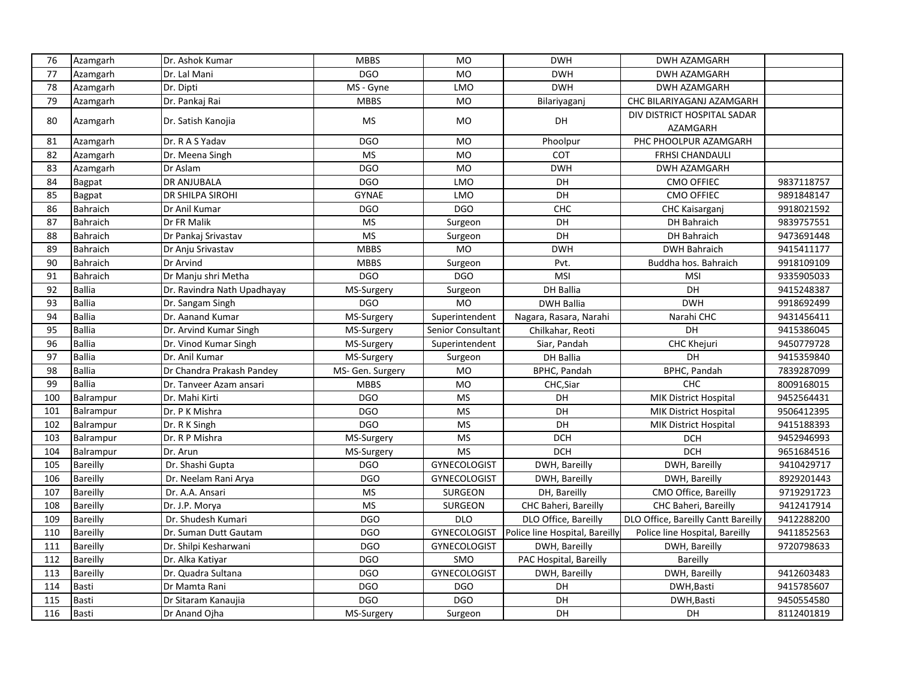| <b>DGO</b><br><b>MO</b><br>77<br>Azamgarh<br>Dr. Lal Mani<br><b>DWH</b><br><b>DWH AZAMGARH</b><br>78<br><b>DWH</b><br>Azamgarh<br>Dr. Dipti<br>MS - Gyne<br>LMO<br><b>DWH AZAMGARH</b><br>79<br>Dr. Pankaj Rai<br><b>MBBS</b><br><b>MO</b><br>Azamgarh<br>Bilariyaganj<br>CHC BILARIYAGANJ AZAMGARH<br>DIV DISTRICT HOSPITAL SADAR<br>80<br><b>MS</b><br>MO<br>DH<br>Azamgarh<br>Dr. Satish Kanojia<br>AZAMGARH<br><b>DGO</b><br><b>MO</b><br>PHC PHOOLPUR AZAMGARH<br>81<br>Azamgarh<br>Dr. R A S Yadav<br>Phoolpur | 9837118757 |
|----------------------------------------------------------------------------------------------------------------------------------------------------------------------------------------------------------------------------------------------------------------------------------------------------------------------------------------------------------------------------------------------------------------------------------------------------------------------------------------------------------------------|------------|
|                                                                                                                                                                                                                                                                                                                                                                                                                                                                                                                      |            |
|                                                                                                                                                                                                                                                                                                                                                                                                                                                                                                                      |            |
|                                                                                                                                                                                                                                                                                                                                                                                                                                                                                                                      |            |
|                                                                                                                                                                                                                                                                                                                                                                                                                                                                                                                      |            |
|                                                                                                                                                                                                                                                                                                                                                                                                                                                                                                                      |            |
| 82<br><b>MS</b><br><b>MO</b><br>COT<br><b>FRHSI CHANDAULI</b><br>Azamgarh<br>Dr. Meena Singh                                                                                                                                                                                                                                                                                                                                                                                                                         |            |
| <b>DGO</b><br>MO<br>83<br>Azamgarh<br><b>DWH</b><br>Dr Aslam<br>DWH AZAMGARH                                                                                                                                                                                                                                                                                                                                                                                                                                         |            |
| <b>DGO</b><br>DH<br>84<br><b>DR ANJUBALA</b><br>LMO<br>Bagpat<br>CMO OFFIEC                                                                                                                                                                                                                                                                                                                                                                                                                                          |            |
| $\overline{DH}$<br><b>GYNAE</b><br>85<br>DR SHILPA SIROHI<br><b>LMO</b><br><b>CMO OFFIEC</b><br>Bagpat                                                                                                                                                                                                                                                                                                                                                                                                               | 9891848147 |
| 86<br>DGO<br><b>DGO</b><br>CHC<br>Bahraich<br>Dr Anil Kumar<br>CHC Kaisarganj                                                                                                                                                                                                                                                                                                                                                                                                                                        | 9918021592 |
| 87<br><b>Bahraich</b><br>Dr FR Malik<br><b>MS</b><br>DH<br>Surgeon<br><b>DH Bahraich</b>                                                                                                                                                                                                                                                                                                                                                                                                                             | 9839757551 |
| 88<br><b>MS</b><br>DH                                                                                                                                                                                                                                                                                                                                                                                                                                                                                                |            |
| Bahraich<br>DH Bahraich<br>Dr Pankaj Srivastav<br>Surgeon<br><b>MBBS</b>                                                                                                                                                                                                                                                                                                                                                                                                                                             | 9473691448 |
| 89<br>Bahraich<br><b>MO</b><br><b>DWH</b><br><b>DWH Bahraich</b><br>Dr Anju Srivastav                                                                                                                                                                                                                                                                                                                                                                                                                                | 9415411177 |
| 90<br>Bahraich<br>Dr Arvind<br><b>MBBS</b><br>Buddha hos. Bahraich<br>Surgeon<br>Pvt.                                                                                                                                                                                                                                                                                                                                                                                                                                | 9918109109 |
| 91<br>Dr Manju shri Metha<br><b>DGO</b><br><b>MSI</b><br>Bahraich<br>DGO<br><b>MSI</b>                                                                                                                                                                                                                                                                                                                                                                                                                               | 9335905033 |
| 92<br><b>Ballia</b><br>DH<br>Dr. Ravindra Nath Upadhayay<br>Surgeon<br>DH Ballia<br>MS-Surgery                                                                                                                                                                                                                                                                                                                                                                                                                       | 9415248387 |
| 93<br><b>Ballia</b><br><b>DWH</b><br><b>DGO</b><br><b>MO</b><br><b>DWH Ballia</b><br>Dr. Sangam Singh                                                                                                                                                                                                                                                                                                                                                                                                                | 9918692499 |
| 94<br><b>Ballia</b><br>Dr. Aanand Kumar<br>Superintendent<br>MS-Surgery<br>Nagara, Rasara, Narahi<br>Narahi CHC                                                                                                                                                                                                                                                                                                                                                                                                      | 9431456411 |
| 95<br><b>Ballia</b><br>Senior Consultant<br>DH<br>Dr. Arvind Kumar Singh<br>MS-Surgery<br>Chilkahar, Reoti                                                                                                                                                                                                                                                                                                                                                                                                           | 9415386045 |
| 96<br><b>Ballia</b><br>Dr. Vinod Kumar Singh<br>Siar, Pandah<br><b>CHC Khejuri</b><br>MS-Surgery<br>Superintendent                                                                                                                                                                                                                                                                                                                                                                                                   | 9450779728 |
| <b>Ballia</b><br>97<br><b>DH Ballia</b><br>DH<br>Dr. Anil Kumar<br>MS-Surgery<br>Surgeon                                                                                                                                                                                                                                                                                                                                                                                                                             | 9415359840 |
| BPHC, Pandah<br>98<br><b>Ballia</b><br><b>MO</b><br>BPHC, Pandah<br>Dr Chandra Prakash Pandey<br>MS- Gen. Surgery                                                                                                                                                                                                                                                                                                                                                                                                    | 7839287099 |
| <b>MO</b><br><b>CHC</b><br>99<br><b>Ballia</b><br><b>MBBS</b><br>CHC, Siar<br>Dr. Tanveer Azam ansari                                                                                                                                                                                                                                                                                                                                                                                                                | 8009168015 |
| 100<br>Balrampur<br><b>DGO</b><br><b>MS</b><br>DH<br>Dr. Mahi Kirti<br><b>MIK District Hospital</b>                                                                                                                                                                                                                                                                                                                                                                                                                  | 9452564431 |
| 101<br><b>DGO</b><br>Balrampur<br>MS<br>DH<br>Dr. P K Mishra<br><b>MIK District Hospital</b>                                                                                                                                                                                                                                                                                                                                                                                                                         | 9506412395 |
| <b>DGO</b><br>$\overline{\mathsf{MS}}$<br>DH<br>102<br>Dr. R K Singh<br>Balrampur<br><b>MIK District Hospital</b>                                                                                                                                                                                                                                                                                                                                                                                                    | 9415188393 |
| <b>DCH</b><br>103<br>Dr. R P Mishra<br><b>MS</b><br><b>DCH</b><br>Balrampur<br>MS-Surgery                                                                                                                                                                                                                                                                                                                                                                                                                            | 9452946993 |
| 104<br><b>MS</b><br><b>DCH</b><br>Dr. Arun<br><b>DCH</b><br>Balrampur<br>MS-Surgery                                                                                                                                                                                                                                                                                                                                                                                                                                  | 9651684516 |
| 105<br>Bareilly<br>Dr. Shashi Gupta<br>DGO<br><b>GYNECOLOGIST</b><br>DWH, Bareilly<br>DWH, Bareilly                                                                                                                                                                                                                                                                                                                                                                                                                  | 9410429717 |
| 106<br><b>Bareilly</b><br><b>DGO</b><br>Dr. Neelam Rani Arya<br><b>GYNECOLOGIST</b><br>DWH, Bareilly<br>DWH, Bareilly                                                                                                                                                                                                                                                                                                                                                                                                | 8929201443 |
| 107<br><b>MS</b><br>CMO Office, Bareilly<br>Bareilly<br>Dr. A.A. Ansari<br><b>SURGEON</b><br>DH, Bareilly                                                                                                                                                                                                                                                                                                                                                                                                            | 9719291723 |
| 108<br>Bareilly<br><b>MS</b><br>CHC Baheri, Bareilly<br>CHC Baheri, Bareilly<br>Dr. J.P. Morya<br><b>SURGEON</b>                                                                                                                                                                                                                                                                                                                                                                                                     | 9412417914 |
| 109<br>Bareilly<br>Dr. Shudesh Kumari<br><b>DGO</b><br><b>DLO</b><br>DLO Office, Bareilly<br>DLO Office, Bareilly Cantt Bareilly                                                                                                                                                                                                                                                                                                                                                                                     | 9412288200 |
| 110<br><b>Bareilly</b><br><b>DGO</b><br>Police line Hospital, Bareilly<br><b>GYNECOLOGIST</b><br>Police line Hospital, Bareilly<br>Dr. Suman Dutt Gautam                                                                                                                                                                                                                                                                                                                                                             | 9411852563 |
| 111<br>Bareilly<br><b>DGO</b><br>Dr. Shilpi Kesharwani<br><b>GYNECOLOGIST</b><br>DWH, Bareilly<br>DWH, Bareilly                                                                                                                                                                                                                                                                                                                                                                                                      | 9720798633 |
| 112<br><b>DGO</b><br>Bareilly<br>Dr. Alka Katiyar<br><b>SMO</b><br>PAC Hospital, Bareilly<br>Bareilly                                                                                                                                                                                                                                                                                                                                                                                                                |            |
| 113<br><b>DGO</b><br><b>GYNECOLOGIST</b><br>Bareilly<br>Dr. Quadra Sultana<br>DWH, Bareilly<br>DWH, Bareilly                                                                                                                                                                                                                                                                                                                                                                                                         | 9412603483 |
| 114<br><b>DGO</b><br><b>Basti</b><br>Dr Mamta Rani<br>DGO<br>DH<br>DWH, Basti                                                                                                                                                                                                                                                                                                                                                                                                                                        | 9415785607 |
| DGO<br>DH<br>115<br>Basti<br><b>DGO</b><br>DWH, Basti<br>Dr Sitaram Kanaujia                                                                                                                                                                                                                                                                                                                                                                                                                                         | 9450554580 |
| 116<br><b>Basti</b><br>DH<br>Dr Anand Ojha<br>DH<br>MS-Surgery<br>Surgeon                                                                                                                                                                                                                                                                                                                                                                                                                                            | 8112401819 |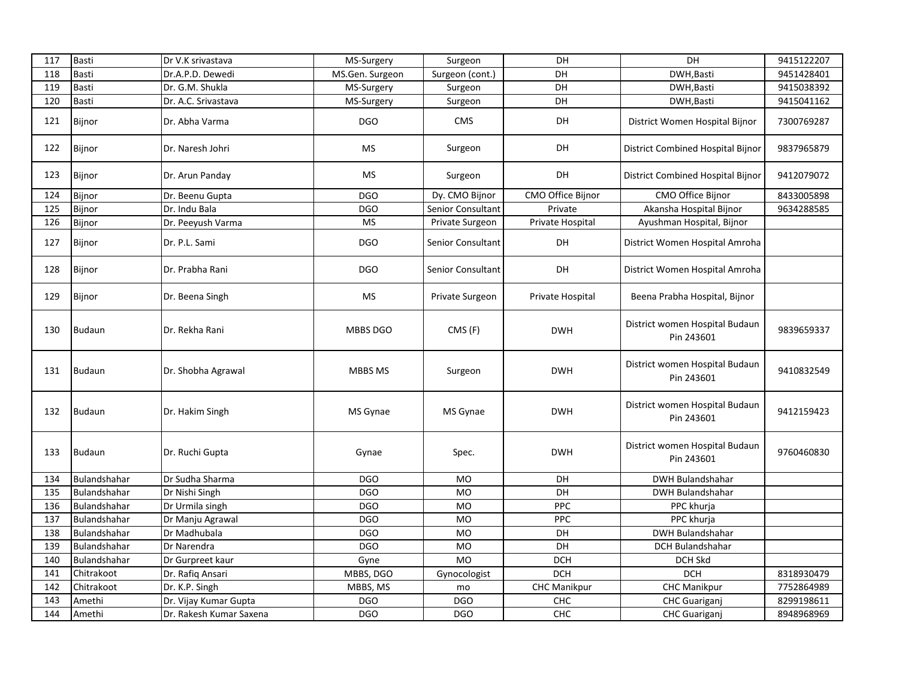| 117 | <b>Basti</b>  | Dr V.K srivastava       | MS-Surgery      | Surgeon           | DH                  | DH                                           | 9415122207 |
|-----|---------------|-------------------------|-----------------|-------------------|---------------------|----------------------------------------------|------------|
| 118 | <b>Basti</b>  | Dr.A.P.D. Dewedi        | MS.Gen. Surgeon | Surgeon (cont.)   | DH                  | DWH, Basti                                   | 9451428401 |
| 119 | <b>Basti</b>  | Dr. G.M. Shukla         | MS-Surgery      | Surgeon           | DH                  | DWH, Basti                                   | 9415038392 |
| 120 | <b>Basti</b>  | Dr. A.C. Srivastava     | MS-Surgery      | Surgeon           | DH                  | DWH, Basti                                   | 9415041162 |
| 121 | Bijnor        | Dr. Abha Varma          | <b>DGO</b>      | <b>CMS</b>        | DH                  | District Women Hospital Bijnor               | 7300769287 |
| 122 | Bijnor        | Dr. Naresh Johri        | MS              | Surgeon           | DH                  | District Combined Hospital Bijnor            | 9837965879 |
| 123 | Bijnor        | Dr. Arun Panday         | <b>MS</b>       | Surgeon           | DH                  | District Combined Hospital Bijnor            | 9412079072 |
| 124 | Bijnor        | Dr. Beenu Gupta         | <b>DGO</b>      | Dy. CMO Bijnor    | CMO Office Bijnor   | CMO Office Bijnor                            | 8433005898 |
| 125 | Bijnor        | Dr. Indu Bala           | DGO             | Senior Consultant | Private             | Akansha Hospital Bijnor                      | 9634288585 |
| 126 | Bijnor        | Dr. Peeyush Varma       | <b>MS</b>       | Private Surgeon   | Private Hospital    | Ayushman Hospital, Bijnor                    |            |
| 127 | Bijnor        | Dr. P.L. Sami           | DGO             | Senior Consultant | DH                  | District Women Hospital Amroha               |            |
| 128 | Bijnor        | Dr. Prabha Rani         | <b>DGO</b>      | Senior Consultant | DH                  | District Women Hospital Amroha               |            |
| 129 | Bijnor        | Dr. Beena Singh         | <b>MS</b>       | Private Surgeon   | Private Hospital    | Beena Prabha Hospital, Bijnor                |            |
| 130 | <b>Budaun</b> | Dr. Rekha Rani          | <b>MBBS DGO</b> | CMS(F)            | <b>DWH</b>          | District women Hospital Budaun<br>Pin 243601 | 9839659337 |
| 131 | Budaun        | Dr. Shobha Agrawal      | MBBS MS         | Surgeon           | <b>DWH</b>          | District women Hospital Budaun<br>Pin 243601 | 9410832549 |
| 132 | <b>Budaun</b> | Dr. Hakim Singh         | MS Gynae        | MS Gynae          | <b>DWH</b>          | District women Hospital Budaun<br>Pin 243601 | 9412159423 |
| 133 | Budaun        | Dr. Ruchi Gupta         | Gynae           | Spec.             | <b>DWH</b>          | District women Hospital Budaun<br>Pin 243601 | 9760460830 |
| 134 | Bulandshahar  | Dr Sudha Sharma         | DGO             | <b>MO</b>         | DH                  | <b>DWH Bulandshahar</b>                      |            |
| 135 | Bulandshahar  | Dr Nishi Singh          | <b>DGO</b>      | <b>MO</b>         | DH                  | <b>DWH Bulandshahar</b>                      |            |
| 136 | Bulandshahar  | Dr Urmila singh         | <b>DGO</b>      | <b>MO</b>         | PPC                 | PPC khurja                                   |            |
| 137 | Bulandshahar  | Dr Manju Agrawal        | <b>DGO</b>      | <b>MO</b>         | <b>PPC</b>          | PPC khurja                                   |            |
| 138 | Bulandshahar  | Dr Madhubala            | <b>DGO</b>      | MO                | DH                  | <b>DWH Bulandshahar</b>                      |            |
| 139 | Bulandshahar  | Dr Narendra             | <b>DGO</b>      | <b>MO</b>         | DH                  | DCH Bulandshahar                             |            |
| 140 | Bulandshahar  | Dr Gurpreet kaur        | Gyne            | <b>MO</b>         | <b>DCH</b>          | <b>DCH Skd</b>                               |            |
| 141 | Chitrakoot    | Dr. Rafiq Ansari        | MBBS, DGO       | Gynocologist      | <b>DCH</b>          | <b>DCH</b>                                   | 8318930479 |
| 142 | Chitrakoot    | Dr. K.P. Singh          | MBBS, MS        | mo                | <b>CHC Manikpur</b> | <b>CHC Manikpur</b>                          | 7752864989 |
| 143 | Amethi        | Dr. Vijay Kumar Gupta   | <b>DGO</b>      | DGO               | CHC                 | <b>CHC Guariganj</b>                         | 8299198611 |
| 144 | Amethi        | Dr. Rakesh Kumar Saxena | <b>DGO</b>      | <b>DGO</b>        | CHC                 | <b>CHC</b> Guariganj                         | 8948968969 |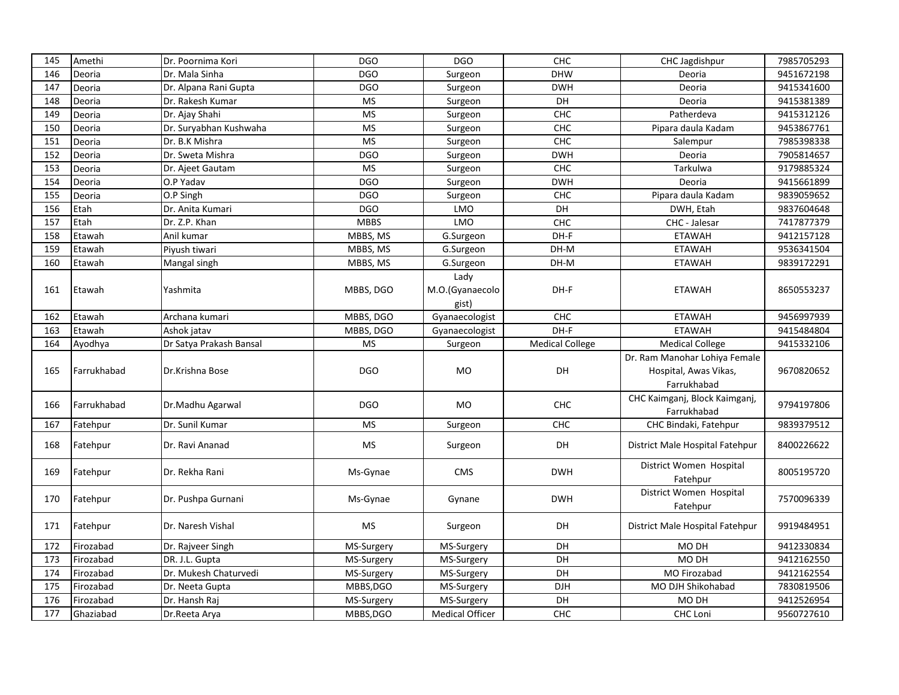| 145 | Amethi      | Dr. Poornima Kori       | <b>DGO</b>  | <b>DGO</b>                           | <b>CHC</b>             | CHC Jagdishpur                                                        | 7985705293 |
|-----|-------------|-------------------------|-------------|--------------------------------------|------------------------|-----------------------------------------------------------------------|------------|
| 146 | Deoria      | Dr. Mala Sinha          | <b>DGO</b>  | Surgeon                              | <b>DHW</b>             | Deoria                                                                | 9451672198 |
| 147 | Deoria      | Dr. Alpana Rani Gupta   | <b>DGO</b>  | Surgeon                              | <b>DWH</b>             | Deoria                                                                | 9415341600 |
| 148 | Deoria      | Dr. Rakesh Kumar        | <b>MS</b>   | Surgeon                              | DH                     | Deoria                                                                | 9415381389 |
| 149 | Deoria      | Dr. Ajay Shahi          | <b>MS</b>   | Surgeon                              | CHC                    | Patherdeva                                                            | 9415312126 |
| 150 | Deoria      | Dr. Suryabhan Kushwaha  | <b>MS</b>   | Surgeon                              | CHC                    | Pipara daula Kadam                                                    | 9453867761 |
| 151 | Deoria      | Dr. B.K Mishra          | <b>MS</b>   | Surgeon                              | CHC                    | Salempur                                                              | 7985398338 |
| 152 | Deoria      | Dr. Sweta Mishra        | <b>DGO</b>  | Surgeon                              | <b>DWH</b>             | Deoria                                                                | 7905814657 |
| 153 | Deoria      | Dr. Ajeet Gautam        | <b>MS</b>   | Surgeon                              | CHC                    | Tarkulwa                                                              | 9179885324 |
| 154 | Deoria      | O.P Yadav               | <b>DGO</b>  | Surgeon                              | <b>DWH</b>             | Deoria                                                                | 9415661899 |
| 155 | Deoria      | O.P Singh               | <b>DGO</b>  | Surgeon                              | CHC                    | Pipara daula Kadam                                                    | 9839059652 |
| 156 | Etah        | Dr. Anita Kumari        | <b>DGO</b>  | LMO                                  | DH                     | DWH, Etah                                                             | 9837604648 |
| 157 | Etah        | Dr. Z.P. Khan           | <b>MBBS</b> | <b>LMO</b>                           | <b>CHC</b>             | CHC - Jalesar                                                         | 7417877379 |
| 158 | Etawah      | Anil kumar              | MBBS, MS    | G.Surgeon                            | DH-F                   | <b>ETAWAH</b>                                                         | 9412157128 |
| 159 | Etawah      | Piyush tiwari           | MBBS, MS    | G.Surgeon                            | DH-M                   | <b>ETAWAH</b>                                                         | 9536341504 |
| 160 | Etawah      | Mangal singh            | MBBS, MS    | G.Surgeon                            | DH-M                   | <b>ETAWAH</b>                                                         | 9839172291 |
| 161 | Etawah      | Yashmita                | MBBS, DGO   | Lady<br>M.O.(Gyanaecolo              | DH-F                   | <b>ETAWAH</b>                                                         | 8650553237 |
|     |             |                         |             | gist)                                |                        |                                                                       |            |
| 162 | Etawah      | Archana kumari          | MBBS, DGO   | Gyanaecologist                       | CHC                    | <b>ETAWAH</b>                                                         | 9456997939 |
| 163 | Etawah      | Ashok jatav             | MBBS, DGO   | Gyanaecologist                       | DH-F                   | <b>ETAWAH</b>                                                         | 9415484804 |
|     |             |                         |             |                                      |                        |                                                                       |            |
| 164 | Ayodhya     | Dr Satya Prakash Bansal | MS          | Surgeon                              | <b>Medical College</b> | <b>Medical College</b>                                                | 9415332106 |
| 165 | Farrukhabad | Dr.Krishna Bose         | <b>DGO</b>  | <b>MO</b>                            | DH                     | Dr. Ram Manohar Lohiya Female<br>Hospital, Awas Vikas,<br>Farrukhabad | 9670820652 |
| 166 | Farrukhabad | Dr.Madhu Agarwal        | <b>DGO</b>  | MO                                   | <b>CHC</b>             | CHC Kaimganj, Block Kaimganj,<br>Farrukhabad                          | 9794197806 |
| 167 | Fatehpur    | Dr. Sunil Kumar         | <b>MS</b>   | Surgeon                              | CHC                    | CHC Bindaki, Fatehpur                                                 | 9839379512 |
| 168 | Fatehpur    | Dr. Ravi Ananad         | MS          | Surgeon                              | DH                     | District Male Hospital Fatehpur                                       | 8400226622 |
| 169 | Fatehpur    | Dr. Rekha Rani          | Ms-Gynae    | <b>CMS</b>                           | <b>DWH</b>             | District Women Hospital<br>Fatehpur                                   | 8005195720 |
| 170 | Fatehpur    | Dr. Pushpa Gurnani      | Ms-Gynae    | Gynane                               | <b>DWH</b>             | District Women Hospital<br>Fatehpur                                   | 7570096339 |
| 171 | Fatehpur    | Dr. Naresh Vishal       | MS          | Surgeon                              | DH                     | District Male Hospital Fatehpur                                       | 9919484951 |
| 172 | Firozabad   | Dr. Rajveer Singh       | MS-Surgery  | MS-Surgery                           | DH                     | MO DH                                                                 | 9412330834 |
| 173 | Firozabad   | DR. J.L. Gupta          | MS-Surgery  | MS-Surgery                           | DH                     | MO DH                                                                 | 9412162550 |
| 174 | Firozabad   | Dr. Mukesh Chaturvedi   | MS-Surgery  | MS-Surgery                           | DH                     | MO Firozabad                                                          | 9412162554 |
| 175 | Firozabad   | Dr. Neeta Gupta         | MBBS, DGO   | MS-Surgery                           | DJH                    | MO DJH Shikohabad                                                     | 7830819506 |
| 176 | Firozabad   | Dr. Hansh Raj           | MS-Surgery  |                                      | DH                     | MO DH                                                                 | 9412526954 |
| 177 | Ghaziabad   | Dr.Reeta Arya           | MBBS, DGO   | MS-Surgery<br><b>Medical Officer</b> | CHC                    | <b>CHC Loni</b>                                                       | 9560727610 |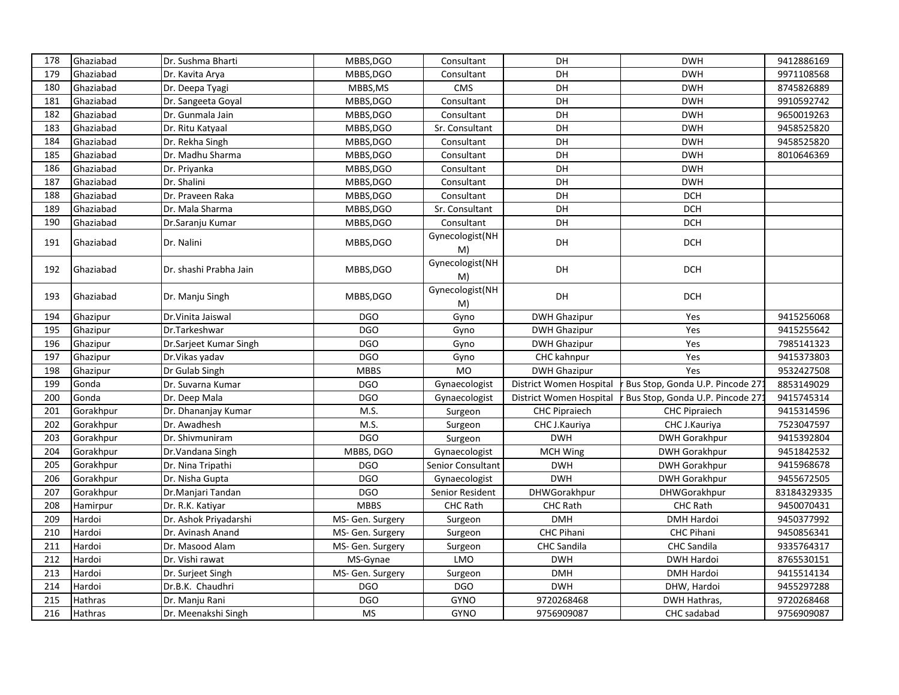| 178 | Ghaziabad      | Dr. Sushma Bharti      | MBBS, DGO        | Consultant            | DH                      | <b>DWH</b>                      | 9412886169  |
|-----|----------------|------------------------|------------------|-----------------------|-------------------------|---------------------------------|-------------|
| 179 | Ghaziabad      | Dr. Kavita Arya        | MBBS, DGO        | Consultant            | DH                      | <b>DWH</b>                      | 9971108568  |
| 180 | Ghaziabad      | Dr. Deepa Tyagi        | MBBS, MS         | <b>CMS</b>            | DH                      | <b>DWH</b>                      | 8745826889  |
| 181 | Ghaziabad      | Dr. Sangeeta Goyal     | MBBS, DGO        | Consultant            | DH                      | <b>DWH</b>                      | 9910592742  |
| 182 | Ghaziabad      | Dr. Gunmala Jain       | MBBS, DGO        | Consultant            | DH                      | <b>DWH</b>                      | 9650019263  |
| 183 | Ghaziabad      | Dr. Ritu Katyaal       | MBBS, DGO        | Sr. Consultant        | DH                      | <b>DWH</b>                      | 9458525820  |
| 184 | Ghaziabad      | Dr. Rekha Singh        | MBBS, DGO        | Consultant            | DH                      | <b>DWH</b>                      | 9458525820  |
| 185 | Ghaziabad      | Dr. Madhu Sharma       | MBBS, DGO        | Consultant            | DH                      | <b>DWH</b>                      | 8010646369  |
| 186 | Ghaziabad      | Dr. Priyanka           | MBBS, DGO        | Consultant            | DH                      | <b>DWH</b>                      |             |
| 187 | Ghaziabad      | Dr. Shalini            | MBBS, DGO        | Consultant            | DH                      | <b>DWH</b>                      |             |
| 188 | Ghaziabad      | Dr. Praveen Raka       | MBBS, DGO        | Consultant            | DH                      | <b>DCH</b>                      |             |
| 189 | Ghaziabad      | Dr. Mala Sharma        | MBBS, DGO        | Sr. Consultant        | DH                      | <b>DCH</b>                      |             |
| 190 | Ghaziabad      | Dr.Saranju Kumar       | MBBS, DGO        | Consultant            | DH                      | <b>DCH</b>                      |             |
| 191 | Ghaziabad      | Dr. Nalini             | MBBS, DGO        | Gynecologist(NH<br>M) | DH                      | <b>DCH</b>                      |             |
| 192 | Ghaziabad      | Dr. shashi Prabha Jain | MBBS, DGO        | Gynecologist(NH<br>M) | DH                      | <b>DCH</b>                      |             |
| 193 | Ghaziabad      | Dr. Manju Singh        | MBBS, DGO        | Gynecologist(NH<br>M) | DH                      | <b>DCH</b>                      |             |
| 194 | Ghazipur       | Dr. Vinita Jaiswal     | <b>DGO</b>       | Gyno                  | <b>DWH Ghazipur</b>     | Yes                             | 9415256068  |
| 195 | Ghazipur       | Dr.Tarkeshwar          | <b>DGO</b>       | Gyno                  | <b>DWH Ghazipur</b>     | Yes                             | 9415255642  |
| 196 | Ghazipur       | Dr.Sarjeet Kumar Singh | <b>DGO</b>       | Gyno                  | <b>DWH Ghazipur</b>     | Yes                             | 7985141323  |
| 197 | Ghazipur       | Dr. Vikas yadav        | <b>DGO</b>       | Gyno                  | CHC kahnpur             | Yes                             | 9415373803  |
| 198 | Ghazipur       | Dr Gulab Singh         | <b>MBBS</b>      | <b>MO</b>             | <b>DWH Ghazipur</b>     | Yes                             | 9532427508  |
| 199 | Gonda          | Dr. Suvarna Kumar      | <b>DGO</b>       | Gynaecologist         | District Women Hospital | Bus Stop, Gonda U.P. Pincode 27 | 8853149029  |
| 200 | Gonda          | Dr. Deep Mala          | <b>DGO</b>       | Gynaecologist         | District Women Hospital | Bus Stop, Gonda U.P. Pincode 27 | 9415745314  |
| 201 | Gorakhpur      | Dr. Dhananjay Kumar    | M.S.             | Surgeon               | <b>CHC Pipraiech</b>    | <b>CHC Pipraiech</b>            | 9415314596  |
| 202 | Gorakhpur      | Dr. Awadhesh           | M.S.             | Surgeon               | CHC J.Kauriya           | CHC J.Kauriya                   | 7523047597  |
| 203 | Gorakhpur      | Dr. Shivmuniram        | <b>DGO</b>       | Surgeon               | <b>DWH</b>              | <b>DWH Gorakhpur</b>            | 9415392804  |
| 204 | Gorakhpur      | Dr. Vandana Singh      | MBBS, DGO        | Gynaecologist         | MCH Wing                | <b>DWH Gorakhpur</b>            | 9451842532  |
| 205 | Gorakhpur      | Dr. Nina Tripathi      | <b>DGO</b>       | Senior Consultant     | <b>DWH</b>              | <b>DWH Gorakhpur</b>            | 9415968678  |
| 206 | Gorakhpur      | Dr. Nisha Gupta        | <b>DGO</b>       | Gynaecologist         | <b>DWH</b>              | <b>DWH Gorakhpur</b>            | 9455672505  |
| 207 | Gorakhpur      | Dr.Manjari Tandan      | <b>DGO</b>       | Senior Resident       | DHWGorakhpur            | <b>DHWGorakhpur</b>             | 83184329335 |
| 208 | Hamirpur       | Dr. R.K. Katiyar       | <b>MBBS</b>      | CHC Rath              | <b>CHC Rath</b>         | <b>CHC Rath</b>                 | 9450070431  |
| 209 | Hardoi         | Dr. Ashok Priyadarshi  | MS- Gen. Surgery | Surgeon               | <b>DMH</b>              | <b>DMH Hardoi</b>               | 9450377992  |
| 210 | Hardoi         | Dr. Avinash Anand      | MS- Gen. Surgery | Surgeon               | CHC Pihani              | <b>CHC Pihani</b>               | 9450856341  |
| 211 | Hardoi         | Dr. Masood Alam        | MS- Gen. Surgery | Surgeon               | <b>CHC Sandila</b>      | CHC Sandila                     | 9335764317  |
| 212 | Hardoi         | Dr. Vishi rawat        | MS-Gynae         | LMO                   | <b>DWH</b>              | <b>DWH Hardoi</b>               | 8765530151  |
| 213 | Hardoi         | Dr. Surjeet Singh      | MS- Gen. Surgery | Surgeon               | <b>DMH</b>              | <b>DMH Hardoi</b>               | 9415514134  |
| 214 | Hardoi         | Dr.B.K. Chaudhri       | DGO              | DGO                   | <b>DWH</b>              | DHW, Hardoi                     | 9455297288  |
| 215 | Hathras        | Dr. Manju Rani         | <b>DGO</b>       | GYNO                  | 9720268468              | DWH Hathras,                    | 9720268468  |
| 216 | <b>Hathras</b> | Dr. Meenakshi Singh    | <b>MS</b>        | <b>GYNO</b>           | 9756909087              | CHC sadabad                     | 9756909087  |
|     |                |                        |                  |                       |                         |                                 |             |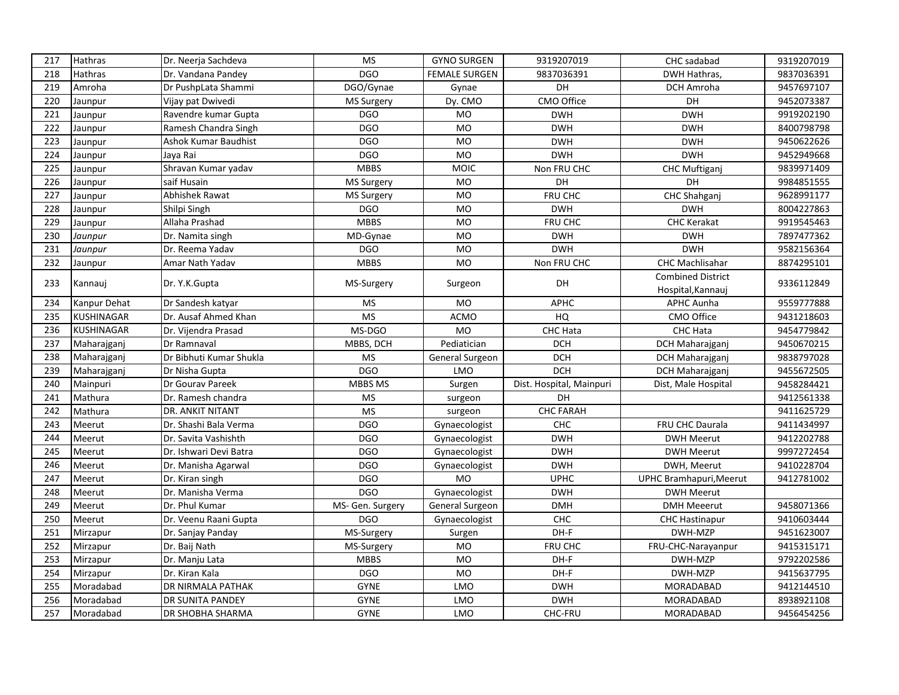| 217 | Hathras           | Dr. Neerja Sachdeva         | <b>MS</b>         | <b>GYNO SURGEN</b>   | 9319207019               | CHC sadabad              | 9319207019 |
|-----|-------------------|-----------------------------|-------------------|----------------------|--------------------------|--------------------------|------------|
| 218 | Hathras           | Dr. Vandana Pandey          | <b>DGO</b>        | <b>FEMALE SURGEN</b> | 9837036391               | DWH Hathras,             | 9837036391 |
| 219 | Amroha            | Dr PushpLata Shammi         | DGO/Gynae         | Gynae                | DH                       | DCH Amroha               | 9457697107 |
| 220 | Jaunpur           | Vijay pat Dwivedi           | MS Surgery        | Dy. CMO              | CMO Office               | DH                       | 9452073387 |
| 221 | Jaunpur           | Ravendre kumar Gupta        | <b>DGO</b>        | MO                   | <b>DWH</b>               | <b>DWH</b>               | 9919202190 |
| 222 | Jaunpur           | Ramesh Chandra Singh        | <b>DGO</b>        | <b>MO</b>            | <b>DWH</b>               | <b>DWH</b>               | 8400798798 |
| 223 | Jaunpur           | <b>Ashok Kumar Baudhist</b> | <b>DGO</b>        | <b>MO</b>            | <b>DWH</b>               | <b>DWH</b>               | 9450622626 |
| 224 | Jaunpur           | Jaya Rai                    | DGO               | <b>MO</b>            | <b>DWH</b>               | <b>DWH</b>               | 9452949668 |
| 225 | Jaunpur           | Shravan Kumar yadav         | <b>MBBS</b>       | MOIC                 | Non FRU CHC              | <b>CHC Muftiganj</b>     | 9839971409 |
| 226 | Jaunpur           | saif Husain                 | <b>MS Surgery</b> | <b>MO</b>            | DH                       | DH                       | 9984851555 |
| 227 | Jaunpur           | Abhishek Rawat              | MS Surgery        | <b>MO</b>            | FRU CHC                  | CHC Shahganj             | 9628991177 |
| 228 | Jaunpur           | Shilpi Singh                | <b>DGO</b>        | MO                   | <b>DWH</b>               | <b>DWH</b>               | 8004227863 |
| 229 | Jaunpur           | Allaha Prashad              | <b>MBBS</b>       | <b>MO</b>            | FRU CHC                  | <b>CHC Kerakat</b>       | 9919545463 |
| 230 | Jaunpur           | Dr. Namita singh            | MD-Gynae          | <b>MO</b>            | <b>DWH</b>               | <b>DWH</b>               | 7897477362 |
| 231 | Jaunpur           | Dr. Reema Yadav             | <b>DGO</b>        | <b>MO</b>            | <b>DWH</b>               | <b>DWH</b>               | 9582156364 |
| 232 | Jaunpur           | Amar Nath Yadav             | <b>MBBS</b>       | <b>MO</b>            | Non FRU CHC              | CHC Machlisahar          | 8874295101 |
| 233 |                   |                             |                   |                      | DH                       | <b>Combined District</b> | 9336112849 |
|     | Kannauj           | Dr. Y.K.Gupta               | MS-Surgery        | Surgeon              |                          | Hospital, Kannauj        |            |
| 234 | Kanpur Dehat      | Dr Sandesh katyar           | <b>MS</b>         | <b>MO</b>            | <b>APHC</b>              | <b>APHC Aunha</b>        | 9559777888 |
| 235 | <b>KUSHINAGAR</b> | Dr. Ausaf Ahmed Khan        | <b>MS</b>         | <b>ACMO</b>          | HQ                       | <b>CMO Office</b>        | 9431218603 |
| 236 | <b>KUSHINAGAR</b> | Dr. Vijendra Prasad         | MS-DGO            | <b>MO</b>            | CHC Hata                 | CHC Hata                 | 9454779842 |
| 237 | Maharajganj       | Dr Ramnaval                 | MBBS, DCH         | Pediatician          | <b>DCH</b>               | DCH Maharajganj          | 9450670215 |
| 238 | Maharajganj       | Dr Bibhuti Kumar Shukla     | <b>MS</b>         | General Surgeon      | <b>DCH</b>               | DCH Maharajganj          | 9838797028 |
| 239 | Maharajganj       | Dr Nisha Gupta              | <b>DGO</b>        | LMO                  | <b>DCH</b>               | DCH Maharajganj          | 9455672505 |
| 240 | Mainpuri          | Dr Gourav Pareek            | MBBS MS           | Surgen               | Dist. Hospital, Mainpuri | Dist, Male Hospital      | 9458284421 |
| 241 | Mathura           | Dr. Ramesh chandra          | <b>MS</b>         | surgeon              | DH                       |                          | 9412561338 |
| 242 | Mathura           | DR. ANKIT NITANT            | <b>MS</b>         | surgeon              | <b>CHC FARAH</b>         |                          | 9411625729 |
| 243 | Meerut            | Dr. Shashi Bala Verma       | <b>DGO</b>        | Gynaecologist        | CHC                      | FRU CHC Daurala          | 9411434997 |
| 244 | Meerut            | Dr. Savita Vashishth        | <b>DGO</b>        | Gynaecologist        | <b>DWH</b>               | <b>DWH Meerut</b>        | 9412202788 |
| 245 | Meerut            | Dr. Ishwari Devi Batra      | <b>DGO</b>        | Gynaecologist        | <b>DWH</b>               | <b>DWH Meerut</b>        | 9997272454 |
| 246 | Meerut            | Dr. Manisha Agarwal         | <b>DGO</b>        | Gynaecologist        | <b>DWH</b>               | DWH, Meerut              | 9410228704 |
| 247 | Meerut            | Dr. Kiran singh             | <b>DGO</b>        | <b>MO</b>            | <b>UPHC</b>              | UPHC Bramhapuri, Meerut  | 9412781002 |
| 248 | Meerut            | Dr. Manisha Verma           | <b>DGO</b>        | Gynaecologist        | <b>DWH</b>               | <b>DWH Meerut</b>        |            |
| 249 | Meerut            | Dr. Phul Kumar              | MS- Gen. Surgery  | General Surgeon      | <b>DMH</b>               | <b>DMH Meeerut</b>       | 9458071366 |
| 250 | Meerut            | Dr. Veenu Raani Gupta       | <b>DGO</b>        | Gynaecologist        | <b>CHC</b>               | <b>CHC Hastinapur</b>    | 9410603444 |
| 251 | Mirzapur          | Dr. Sanjay Panday           | MS-Surgery        | Surgen               | DH-F                     | DWH-MZP                  | 9451623007 |
| 252 | Mirzapur          | Dr. Baij Nath               | MS-Surgery        | <b>MO</b>            | FRU CHC                  | FRU-CHC-Narayanpur       | 9415315171 |
| 253 | Mirzapur          | Dr. Manju Lata              | <b>MBBS</b>       | <b>MO</b>            | DH-F                     | DWH-MZP                  | 9792202586 |
| 254 | Mirzapur          | Dr. Kiran Kala              | <b>DGO</b>        | <b>MO</b>            | DH-F                     | DWH-MZP                  | 9415637795 |
| 255 | Moradabad         | DR NIRMALA PATHAK           | <b>GYNE</b>       | LMO                  | <b>DWH</b>               | MORADABAD                | 9412144510 |
| 256 | Moradabad         | DR SUNITA PANDEY            | <b>GYNE</b>       | <b>LMO</b>           | <b>DWH</b>               | MORADABAD                | 8938921108 |
| 257 | Moradabad         | DR SHOBHA SHARMA            | <b>GYNE</b>       | LMO                  | CHC-FRU                  | <b>MORADABAD</b>         | 9456454256 |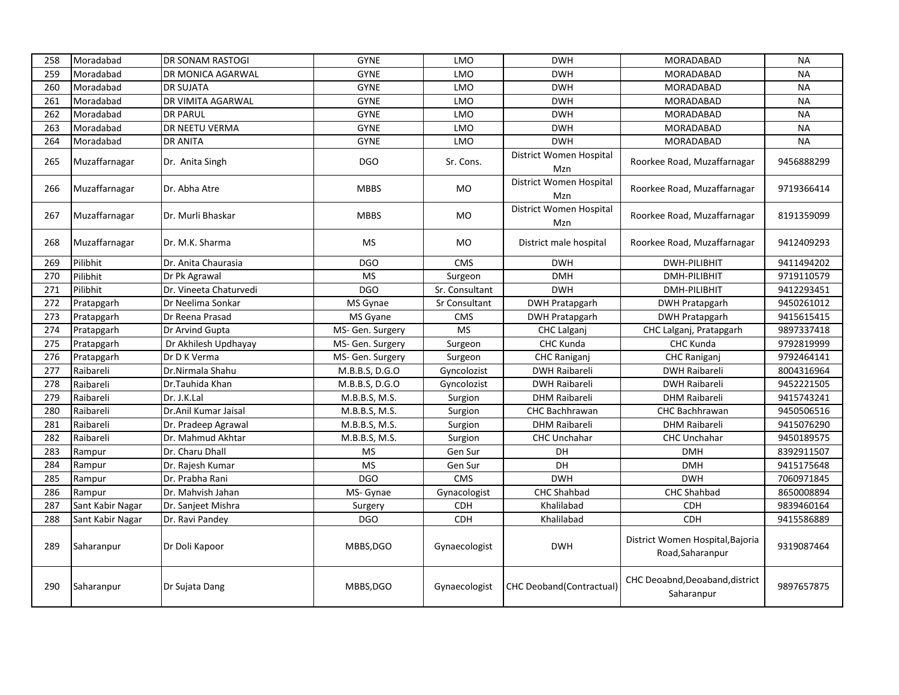| 258 | Moradabad        | DR SONAM RASTOGI       | <b>GYNE</b>      | <b>LMO</b>     | <b>DWH</b>                       | MORADABAD                                            | <b>NA</b>  |
|-----|------------------|------------------------|------------------|----------------|----------------------------------|------------------------------------------------------|------------|
| 259 | Moradabad        | DR MONICA AGARWAL      | <b>GYNE</b>      | <b>LMO</b>     | <b>DWH</b>                       | <b>MORADABAD</b>                                     | <b>NA</b>  |
| 260 | Moradabad        | <b>DR SUJATA</b>       | <b>GYNE</b>      | <b>LMO</b>     | <b>DWH</b>                       | <b>MORADABAD</b>                                     | <b>NA</b>  |
| 261 | Moradabad        | DR VIMITA AGARWAL      | <b>GYNE</b>      | <b>LMO</b>     | <b>DWH</b>                       | MORADABAD                                            | <b>NA</b>  |
| 262 | Moradabad        | <b>DR PARUL</b>        | <b>GYNE</b>      | LMO            | <b>DWH</b>                       | <b>MORADABAD</b>                                     | <b>NA</b>  |
| 263 | Moradabad        | DR NEETU VERMA         | <b>GYNE</b>      | <b>LMO</b>     | <b>DWH</b>                       | MORADABAD                                            | <b>NA</b>  |
| 264 | Moradabad        | <b>DR ANITA</b>        | <b>GYNE</b>      | LMO            | <b>DWH</b>                       | MORADABAD                                            | <b>NA</b>  |
| 265 | Muzaffarnagar    | Dr. Anita Singh        | <b>DGO</b>       | Sr. Cons.      | District Women Hospital<br>Mzn   | Roorkee Road, Muzaffarnagar                          | 9456888299 |
| 266 | Muzaffarnagar    | Dr. Abha Atre          | <b>MBBS</b>      | MO             | District Women Hospital<br>Mzn   | Roorkee Road, Muzaffarnagar                          | 9719366414 |
| 267 | Muzaffarnagar    | Dr. Murli Bhaskar      | <b>MBBS</b>      | <b>MO</b>      | District Women Hospital<br>Mzn   | Roorkee Road, Muzaffarnagar                          | 8191359099 |
| 268 | Muzaffarnagar    | Dr. M.K. Sharma        | MS               | <b>MO</b>      | District male hospital           | Roorkee Road, Muzaffarnagar                          | 9412409293 |
| 269 | Pilibhit         | Dr. Anita Chaurasia    | <b>DGO</b>       | <b>CMS</b>     | <b>DWH</b>                       | <b>DWH-PILIBHIT</b>                                  | 9411494202 |
| 270 | Pilibhit         | Dr Pk Agrawal          | <b>MS</b>        | Surgeon        | <b>DMH</b>                       | DMH-PILIBHIT                                         | 9719110579 |
| 271 | Pilibhit         | Dr. Vineeta Chaturvedi | <b>DGO</b>       | Sr. Consultant | <b>DWH</b>                       | DMH-PILIBHIT                                         | 9412293451 |
| 272 | Pratapgarh       | Dr Neelima Sonkar      | MS Gynae         | Sr Consultant  | <b>DWH Pratapgarh</b>            | <b>DWH Pratapgarh</b>                                | 9450261012 |
| 273 | Pratapgarh       | Dr Reena Prasad        | MS Gyane         | <b>CMS</b>     | <b>DWH Pratapgarh</b>            | <b>DWH Pratapgarh</b>                                | 9415615415 |
| 274 | Pratapgarh       | Dr Arvind Gupta        | MS- Gen. Surgery | <b>MS</b>      | CHC Lalganj                      | CHC Lalganj, Pratapgarh                              | 9897337418 |
| 275 | Pratapgarh       | Dr Akhilesh Updhayay   | MS- Gen. Surgery | Surgeon        | CHC Kunda                        | CHC Kunda                                            | 9792819999 |
| 276 | Pratapgarh       | Dr D K Verma           | MS- Gen. Surgery | Surgeon        | <b>CHC Raniganj</b>              | <b>CHC Raniganj</b>                                  | 9792464141 |
| 277 | Raibareli        | Dr.Nirmala Shahu       | M.B.B.S, D.G.O   | Gyncolozist    | <b>DWH Raibareli</b>             | <b>DWH Raibareli</b>                                 | 8004316964 |
| 278 | Raibareli        | Dr.Tauhida Khan        | M.B.B.S, D.G.O   | Gyncolozist    | <b>DWH Raibareli</b>             | <b>DWH Raibareli</b>                                 | 9452221505 |
| 279 | Raibareli        | Dr. J.K.Lal            | M.B.B.S, M.S.    | Surgion        | DHM Raibareli                    | DHM Raibareli                                        | 9415743241 |
| 280 | Raibareli        | Dr.Anil Kumar Jaisal   | M.B.B.S, M.S.    | Surgion        | <b>CHC Bachhrawan</b>            | <b>CHC Bachhrawan</b>                                | 9450506516 |
| 281 | Raibareli        | Dr. Pradeep Agrawal    | M.B.B.S, M.S.    | Surgion        | <b>DHM Raibareli</b>             | <b>DHM Raibareli</b>                                 | 9415076290 |
| 282 | Raibareli        | Dr. Mahmud Akhtar      | M.B.B.S, M.S.    | Surgion        | <b>CHC Unchahar</b>              | <b>CHC Unchahar</b>                                  | 9450189575 |
| 283 | Rampur           | Dr. Charu Dhall        | <b>MS</b>        | Gen Sur        | DH                               | <b>DMH</b>                                           | 8392911507 |
| 284 | Rampur           | Dr. Rajesh Kumar       | <b>MS</b>        | Gen Sur        | DH                               | <b>DMH</b>                                           | 9415175648 |
| 285 | Rampur           | Dr. Prabha Rani        | <b>DGO</b>       | <b>CMS</b>     | <b>DWH</b>                       | <b>DWH</b>                                           | 7060971845 |
| 286 | Rampur           | Dr. Mahvish Jahan      | MS- Gynae        | Gynacologist   | <b>CHC Shahbad</b>               | CHC Shahbad                                          | 8650008894 |
| 287 | Sant Kabir Nagar | Dr. Sanjeet Mishra     | Surgery          | <b>CDH</b>     | Khalilabad                       | <b>CDH</b>                                           | 9839460164 |
| 288 | Sant Kabir Nagar | Dr. Ravi Pandey        | <b>DGO</b>       | CDH            | Khalilabad                       | <b>CDH</b>                                           | 9415586889 |
| 289 | Saharanpur       | Dr Doli Kapoor         | MBBS, DGO        | Gynaecologist  | <b>DWH</b>                       | District Women Hospital, Bajoria<br>Road, Saharanpur | 9319087464 |
| 290 | Saharanpur       | Dr Sujata Dang         | MBBS, DGO        | Gynaecologist  | <b>CHC Deoband (Contractual)</b> | CHC Deoabnd, Deoaband, district<br>Saharanpur        | 9897657875 |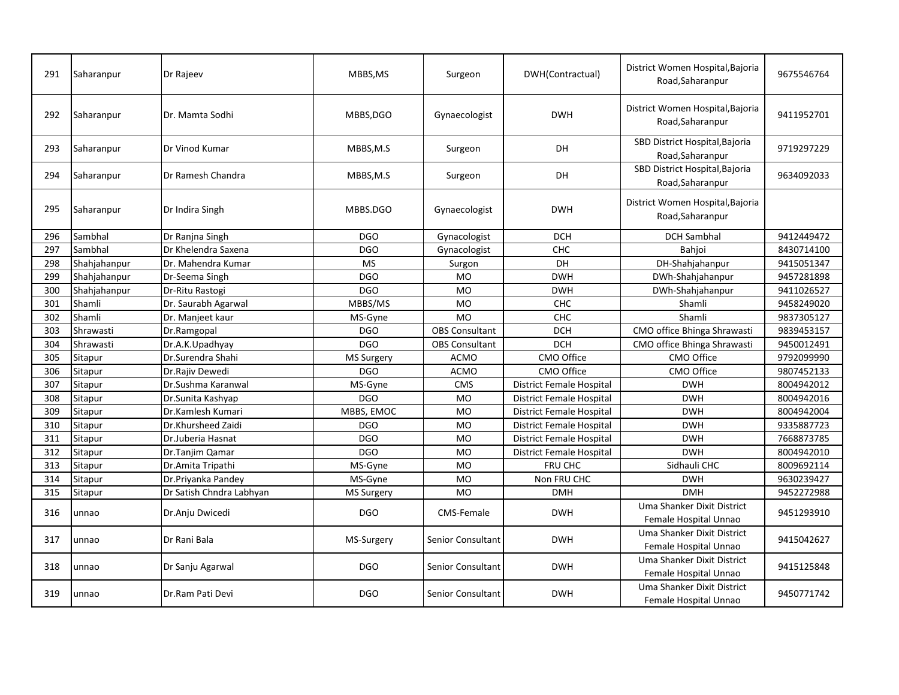| 291 | Saharanpur   | Dr Rajeev                | MBBS, MS          | Surgeon               | DWH(Contractual)                | District Women Hospital, Bajoria<br>Road, Saharanpur | 9675546764 |
|-----|--------------|--------------------------|-------------------|-----------------------|---------------------------------|------------------------------------------------------|------------|
| 292 | Saharanpur   | Dr. Mamta Sodhi          | MBBS, DGO         | Gynaecologist         | <b>DWH</b>                      | District Women Hospital, Bajoria<br>Road, Saharanpur | 9411952701 |
| 293 | Saharanpur   | Dr Vinod Kumar           | MBBS,M.S          | Surgeon               | <b>DH</b>                       | SBD District Hospital, Bajoria<br>Road, Saharanpur   | 9719297229 |
| 294 | Saharanpur   | Dr Ramesh Chandra        | MBBS,M.S          | Surgeon               | <b>DH</b>                       | SBD District Hospital, Bajoria<br>Road, Saharanpur   | 9634092033 |
| 295 | Saharanpur   | Dr Indira Singh          | MBBS.DGO          | Gynaecologist         | <b>DWH</b>                      | District Women Hospital, Bajoria<br>Road, Saharanpur |            |
| 296 | Sambhal      | Dr Ranjna Singh          | <b>DGO</b>        | Gynacologist          | <b>DCH</b>                      | <b>DCH Sambhal</b>                                   | 9412449472 |
| 297 | Sambhal      | Dr Khelendra Saxena      | <b>DGO</b>        | Gynacologist          | CHC                             | Bahjoi                                               | 8430714100 |
| 298 | Shahjahanpur | Dr. Mahendra Kumar       | <b>MS</b>         | Surgon                | DH                              | DH-Shahjahanpur                                      | 9415051347 |
| 299 | Shahjahanpur | Dr-Seema Singh           | <b>DGO</b>        | <b>MO</b>             | <b>DWH</b>                      | DWh-Shahjahanpur                                     | 9457281898 |
| 300 | Shahjahanpur | Dr-Ritu Rastogi          | <b>DGO</b>        | <b>MO</b>             | <b>DWH</b>                      | DWh-Shahjahanpur                                     | 9411026527 |
| 301 | Shamli       | Dr. Saurabh Agarwal      | MBBS/MS           | <b>MO</b>             | CHC                             | Shamli                                               | 9458249020 |
| 302 | Shamli       | Dr. Manjeet kaur         | MS-Gyne           | <b>MO</b>             | CHC                             | Shamli                                               | 9837305127 |
| 303 | Shrawasti    | Dr.Ramgopal              | <b>DGO</b>        | <b>OBS Consultant</b> | <b>DCH</b>                      | CMO office Bhinga Shrawasti                          | 9839453157 |
| 304 | Shrawasti    | Dr.A.K.Upadhyay          | <b>DGO</b>        | <b>OBS Consultant</b> | <b>DCH</b>                      | CMO office Bhinga Shrawasti                          | 9450012491 |
| 305 | Sitapur      | Dr.Surendra Shahi        | <b>MS Surgery</b> | <b>ACMO</b>           | CMO Office                      | CMO Office                                           | 9792099990 |
| 306 | Sitapur      | Dr.Rajiv Dewedi          | <b>DGO</b>        | <b>ACMO</b>           | CMO Office                      | CMO Office                                           | 9807452133 |
| 307 | Sitapur      | Dr.Sushma Karanwal       | MS-Gyne           | CMS                   | <b>District Female Hospital</b> | <b>DWH</b>                                           | 8004942012 |
| 308 | Sitapur      | Dr.Sunita Kashyap        | <b>DGO</b>        | <b>MO</b>             | <b>District Female Hospital</b> | <b>DWH</b>                                           | 8004942016 |
| 309 | Sitapur      | Dr.Kamlesh Kumari        | MBBS, EMOC        | <b>MO</b>             | <b>District Female Hospital</b> | <b>DWH</b>                                           | 8004942004 |
| 310 | Sitapur      | Dr.Khursheed Zaidi       | <b>DGO</b>        | <b>MO</b>             | District Female Hospital        | <b>DWH</b>                                           | 9335887723 |
| 311 | Sitapur      | Dr.Juberia Hasnat        | <b>DGO</b>        | MO                    | District Female Hospital        | <b>DWH</b>                                           | 7668873785 |
| 312 | Sitapur      | Dr.Tanjim Qamar          | <b>DGO</b>        | <b>MO</b>             | District Female Hospital        | <b>DWH</b>                                           | 8004942010 |
| 313 | Sitapur      | Dr.Amita Tripathi        | MS-Gyne           | <b>MO</b>             | FRU CHC                         | Sidhauli CHC                                         | 8009692114 |
| 314 | Sitapur      | Dr.Priyanka Pandey       | MS-Gyne           | MO                    | Non FRU CHC                     | <b>DWH</b>                                           | 9630239427 |
| 315 | Sitapur      | Dr Satish Chndra Labhyan | <b>MS Surgery</b> | <b>MO</b>             | <b>DMH</b>                      | <b>DMH</b>                                           | 9452272988 |
| 316 | unnao        | Dr.Anju Dwicedi          | <b>DGO</b>        | CMS-Female            | <b>DWH</b>                      | Uma Shanker Dixit District<br>Female Hospital Unnao  | 9451293910 |
| 317 | unnao        | Dr Rani Bala             | MS-Surgery        | Senior Consultant     | <b>DWH</b>                      | Uma Shanker Dixit District<br>Female Hospital Unnao  | 9415042627 |
| 318 | unnao        | Dr Sanju Agarwal         | DGO               | Senior Consultant     | <b>DWH</b>                      | Uma Shanker Dixit District<br>Female Hospital Unnao  | 9415125848 |
| 319 | unnao        | Dr.Ram Pati Devi         | <b>DGO</b>        | Senior Consultant     | <b>DWH</b>                      | Uma Shanker Dixit District<br>Female Hospital Unnao  | 9450771742 |